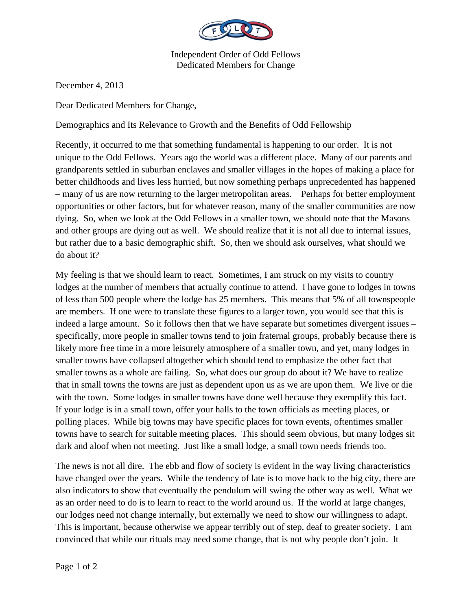

Independent Order of Odd Fellows Dedicated Members for Change

December 4, 2013

Dear Dedicated Members for Change,

Demographics and Its Relevance to Growth and the Benefits of Odd Fellowship

Recently, it occurred to me that something fundamental is happening to our order. It is not unique to the Odd Fellows. Years ago the world was a different place. Many of our parents and grandparents settled in suburban enclaves and smaller villages in the hopes of making a place for better childhoods and lives less hurried, but now something perhaps unprecedented has happened – many of us are now returning to the larger metropolitan areas. Perhaps for better employment opportunities or other factors, but for whatever reason, many of the smaller communities are now dying. So, when we look at the Odd Fellows in a smaller town, we should note that the Masons and other groups are dying out as well. We should realize that it is not all due to internal issues, but rather due to a basic demographic shift. So, then we should ask ourselves, what should we do about it?

My feeling is that we should learn to react. Sometimes, I am struck on my visits to country lodges at the number of members that actually continue to attend. I have gone to lodges in towns of less than 500 people where the lodge has 25 members. This means that 5% of all townspeople are members. If one were to translate these figures to a larger town, you would see that this is indeed a large amount. So it follows then that we have separate but sometimes divergent issues – specifically, more people in smaller towns tend to join fraternal groups, probably because there is likely more free time in a more leisurely atmosphere of a smaller town, and yet, many lodges in smaller towns have collapsed altogether which should tend to emphasize the other fact that smaller towns as a whole are failing. So, what does our group do about it? We have to realize that in small towns the towns are just as dependent upon us as we are upon them. We live or die with the town. Some lodges in smaller towns have done well because they exemplify this fact. If your lodge is in a small town, offer your halls to the town officials as meeting places, or polling places. While big towns may have specific places for town events, oftentimes smaller towns have to search for suitable meeting places. This should seem obvious, but many lodges sit dark and aloof when not meeting. Just like a small lodge, a small town needs friends too.

The news is not all dire. The ebb and flow of society is evident in the way living characteristics have changed over the years. While the tendency of late is to move back to the big city, there are also indicators to show that eventually the pendulum will swing the other way as well. What we as an order need to do is to learn to react to the world around us. If the world at large changes, our lodges need not change internally, but externally we need to show our willingness to adapt. This is important, because otherwise we appear terribly out of step, deaf to greater society. I am convinced that while our rituals may need some change, that is not why people don't join. It